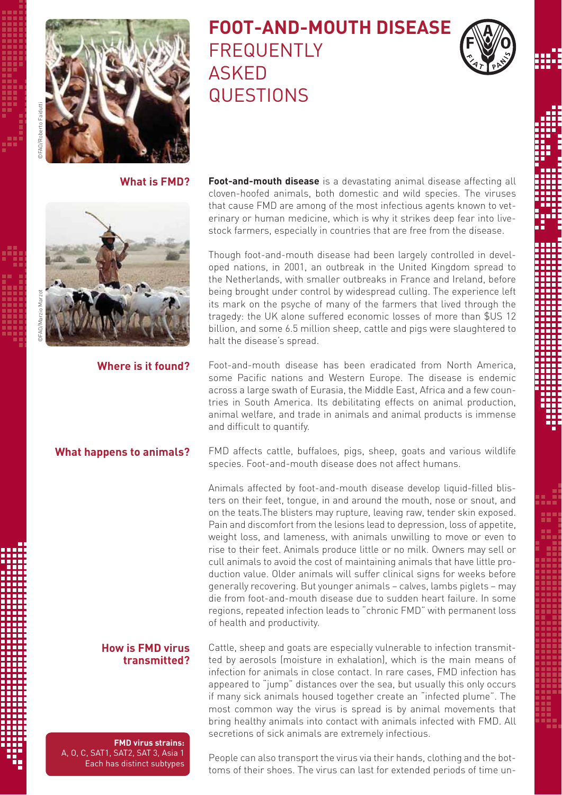

# **FOOT-AND-MOUTH DISEASE** FREQUENTLY ASKED QUESTIONS



**What is FMD?**



**Where is it found?**

## **What happens to animals?**

# **How is FMD virus transmitted?**

**FMD virus strains:** A, O, C, SAT1, SAT2, SAT 3, Asia 1 Each has distinct subtypes **Foot-and-mouth disease** is a devastating animal disease affecting all cloven-hoofed animals, both domestic and wild species. The viruses that cause FMD are among of the most infectious agents known to veterinary or human medicine, which is why it strikes deep fear into livestock farmers, especially in countries that are free from the disease.

Though foot-and-mouth disease had been largely controlled in developed nations, in 2001, an outbreak in the United Kingdom spread to the Netherlands, with smaller outbreaks in France and Ireland, before being brought under control by widespread culling. The experience left its mark on the psyche of many of the farmers that lived through the tragedy: the UK alone suffered economic losses of more than \$US 12 billion, and some 6.5 million sheep, cattle and pigs were slaughtered to halt the disease's spread.

Foot-and-mouth disease has been eradicated from North America, some Pacific nations and Western Europe. The disease is endemic across a large swath of Eurasia, the Middle East, Africa and a few countries in South America. Its debilitating effects on animal production, animal welfare, and trade in animals and animal products is immense and difficult to quantify.

FMD affects cattle, buffaloes, pigs, sheep, goats and various wildlife species. Foot-and-mouth disease does not affect humans.

Animals affected by foot-and-mouth disease develop liquid-filled blisters on their feet, tongue, in and around the mouth, nose or snout, and on the teats.The blisters may rupture, leaving raw, tender skin exposed. Pain and discomfort from the lesions lead to depression, loss of appetite, weight loss, and lameness, with animals unwilling to move or even to rise to their feet. Animals produce little or no milk. Owners may sell or cull animals to avoid the cost of maintaining animals that have little production value. Older animals will suffer clinical signs for weeks before generally recovering. But younger animals – calves, lambs piglets – may die from foot-and-mouth disease due to sudden heart failure. In some regions, repeated infection leads to "chronic FMD" with permanent loss of health and productivity.

Cattle, sheep and goats are especially vulnerable to infection transmitted by aerosols (moisture in exhalation), which is the main means of infection for animals in close contact. In rare cases, FMD infection has appeared to "jump" distances over the sea, but usually this only occurs if many sick animals housed together create an "infected plume". The most common way the virus is spread is by animal movements that bring healthy animals into contact with animals infected with FMD. All secretions of sick animals are extremely infectious.

People can also transport the virus via their hands, clothing and the bottoms of their shoes. The virus can last for extended periods of time un